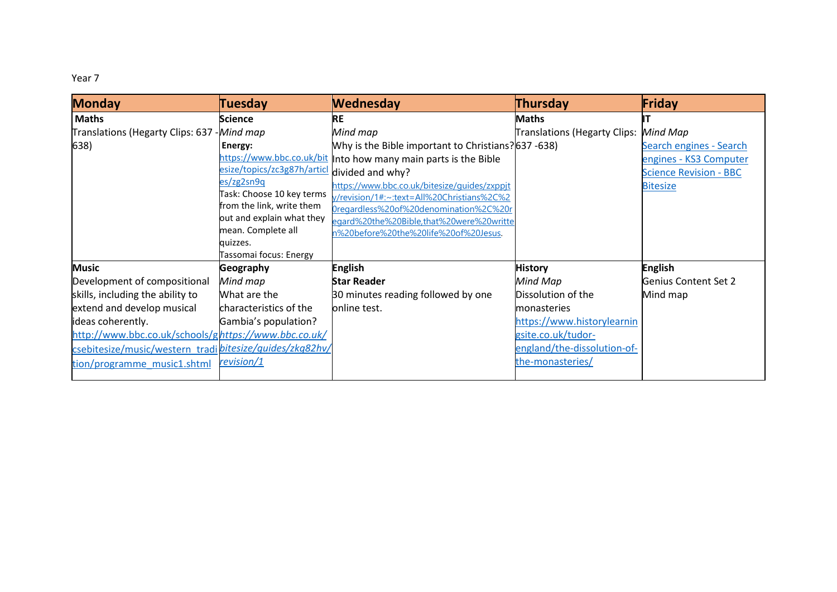## Year 7

| <b>Monday</b>                                            | <b>Tuesday</b>              | <b>Wednesday</b>                                                | Thursday                     | Friday                        |
|----------------------------------------------------------|-----------------------------|-----------------------------------------------------------------|------------------------------|-------------------------------|
| <b>Maths</b>                                             | <b>Science</b>              | RE                                                              | Maths                        |                               |
| Translations (Hegarty Clips: 637 - Mind map              |                             | Mind map                                                        | Translations (Hegarty Clips: | Mind Map                      |
| 638)                                                     | Energy:                     | Why is the Bible important to Christians?637 -638)              |                              | Search engines - Search       |
|                                                          |                             | https://www.bbc.co.uk/bit Into how many main parts is the Bible |                              | engines - KS3 Computer        |
|                                                          | esize/topics/zc3g87h/articl | divided and why?                                                |                              | <b>Science Revision - BBC</b> |
|                                                          | es/zg2sn9q                  | https://www.bbc.co.uk/bitesize/guides/zxppjt                    |                              | <b>Bitesize</b>               |
|                                                          | Task: Choose 10 key terms   | y/revision/1#:~:text=All%20Christians%2C%2                      |                              |                               |
|                                                          | from the link, write them   | 0regardless%20of%20denomination%2C%20r                          |                              |                               |
|                                                          | out and explain what they   | egard%20the%20Bible,that%20were%20writte                        |                              |                               |
|                                                          | mean. Complete all          | n%20before%20the%20life%20of%20Jesus.                           |                              |                               |
|                                                          | quizzes.                    |                                                                 |                              |                               |
|                                                          | Tassomai focus: Energy      |                                                                 |                              |                               |
| <b>Music</b>                                             | <b>Geography</b>            | <b>English</b>                                                  | <b>History</b>               | <b>English</b>                |
| Development of compositional                             | Mind map                    | Star Reader                                                     | Mind Map                     | Genius Content Set 2          |
| skills, including the ability to                         | What are the                | 30 minutes reading followed by one                              | Dissolution of the           | Mind map                      |
| extend and develop musical                               | characteristics of the      | online test.                                                    | <b>monasteries</b>           |                               |
| ideas coherently.                                        | Gambia's population?        |                                                                 | https://www.historylearnin   |                               |
| http://www.bbc.co.uk/schools/ghttps://www.bbc.co.uk/     |                             |                                                                 | gsite.co.uk/tudor-           |                               |
| csebitesize/music/western_tradi bitesize/guides/zkg82hv/ |                             |                                                                 | england/the-dissolution-of-  |                               |
| tion/programme music1.shtml                              | revision/1                  |                                                                 | the-monasteries/             |                               |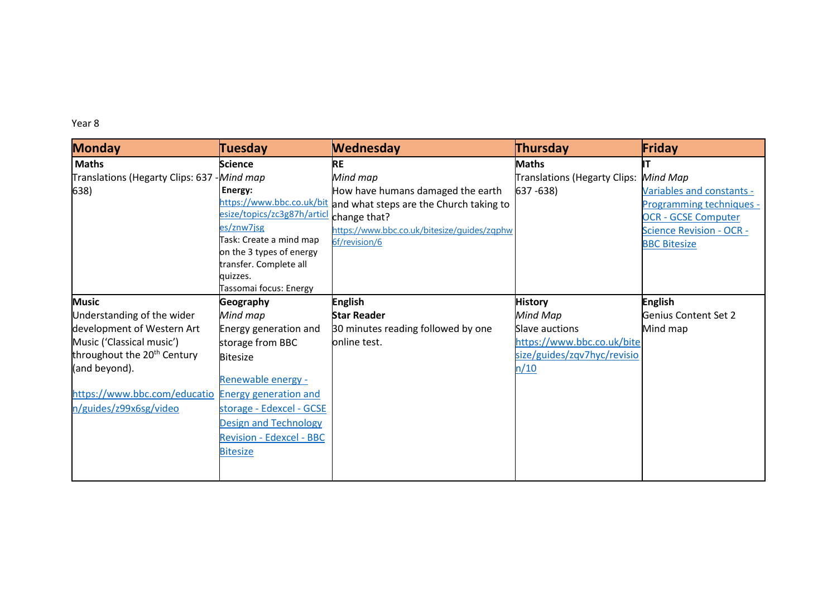## Year 8

| <b>Monday</b>                                      | <b>Tuesday</b>                     | <b>Wednesday</b>                                                  | Thursday                     | Friday                          |
|----------------------------------------------------|------------------------------------|-------------------------------------------------------------------|------------------------------|---------------------------------|
| <b>Maths</b>                                       | <b>Science</b>                     | <b>RE</b>                                                         | <b>Maths</b>                 |                                 |
| Translations (Hegarty Clips: 637 - Mind map        |                                    | Mind map                                                          | Translations (Hegarty Clips: | Mind Map                        |
| 638)                                               | Energy:                            | How have humans damaged the earth                                 | $637 - 638$                  | Variables and constants -       |
|                                                    |                                    | https://www.bbc.co.uk/bit and what steps are the Church taking to |                              | <b>Programming techniques -</b> |
|                                                    | esize/topics/zc3g87h/articl        | change that?                                                      |                              | <b>OCR - GCSE Computer</b>      |
|                                                    | es/znw7jsg                         | https://www.bbc.co.uk/bitesize/quides/zqphw                       |                              | <b>Science Revision - OCR -</b> |
|                                                    | Task: Create a mind map            | 6f/revision/6                                                     |                              | <b>BBC Bitesize</b>             |
|                                                    | on the 3 types of energy           |                                                                   |                              |                                 |
|                                                    | transfer. Complete all             |                                                                   |                              |                                 |
|                                                    | quizzes.<br>Tassomai focus: Energy |                                                                   |                              |                                 |
| <b>Music</b>                                       | <b>Geography</b>                   | <b>English</b>                                                    | <b>History</b>               | <b>English</b>                  |
| Understanding of the wider                         | Mind map                           | <b>Star Reader</b>                                                | Mind Map                     | Genius Content Set 2            |
| development of Western Art                         | Energy generation and              | 30 minutes reading followed by one                                | <b>Slave auctions</b>        | Mind map                        |
| Music ('Classical music')                          |                                    | online test.                                                      | https://www.bbc.co.uk/bite   |                                 |
| throughout the 20 <sup>th</sup> Century            | storage from BBC                   |                                                                   |                              |                                 |
|                                                    | <b>Bitesize</b>                    |                                                                   | size/guides/zqv7hyc/revisio  |                                 |
| (and beyond).                                      | Renewable energy -                 |                                                                   | n/10                         |                                 |
| https://www.bbc.com/educatio Energy generation and |                                    |                                                                   |                              |                                 |
|                                                    |                                    |                                                                   |                              |                                 |
| n/guides/z99x6sg/video                             | storage - Edexcel - GCSE           |                                                                   |                              |                                 |
|                                                    | <b>Design and Technology</b>       |                                                                   |                              |                                 |
|                                                    | <b>Revision - Edexcel - BBC</b>    |                                                                   |                              |                                 |
|                                                    | <b>Bitesize</b>                    |                                                                   |                              |                                 |
|                                                    |                                    |                                                                   |                              |                                 |
|                                                    |                                    |                                                                   |                              |                                 |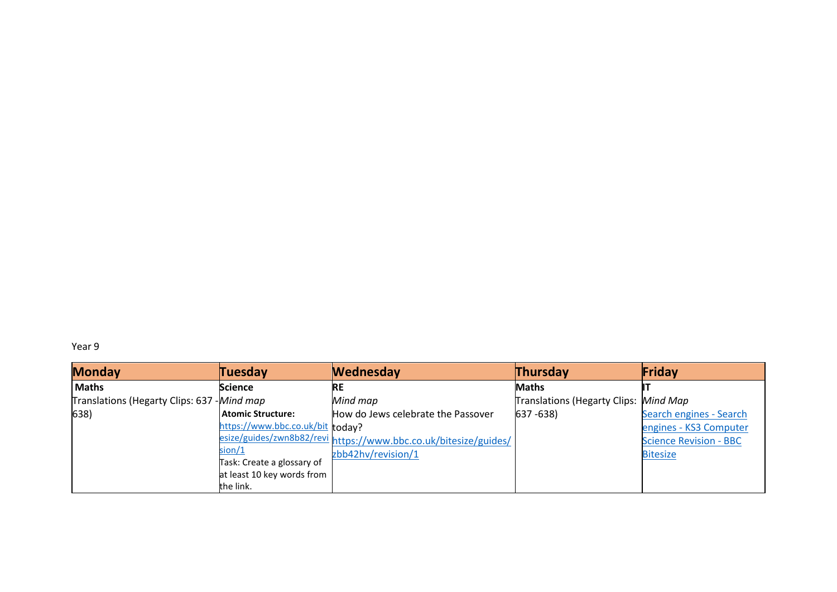Year 9

| <b>Monday</b>                               | <b>Tuesday</b>                   | <b>Wednesday</b>                                                 | Thursday                              | Friday                        |
|---------------------------------------------|----------------------------------|------------------------------------------------------------------|---------------------------------------|-------------------------------|
| <b>Maths</b>                                | <b>Science</b>                   | <b>RE</b>                                                        | <b>Maths</b>                          |                               |
| Translations (Hegarty Clips: 637 - Mind map |                                  | Mind map                                                         | Translations (Hegarty Clips: Mind Map |                               |
| 638)                                        | Atomic Structure:                | How do Jews celebrate the Passover                               | $637 - 638$                           | Search engines - Search       |
|                                             | https://www.bbc.co.uk/bit today? |                                                                  |                                       | engines - KS3 Computer        |
|                                             |                                  | esize/guides/zwn8b82/revi https://www.bbc.co.uk/bitesize/guides/ |                                       | <b>Science Revision - BBC</b> |
|                                             | sion/1                           | zbb42hv/revision/1                                               |                                       | <b>Bitesize</b>               |
|                                             | Task: Create a glossary of       |                                                                  |                                       |                               |
|                                             | at least 10 key words from       |                                                                  |                                       |                               |
|                                             | the link.                        |                                                                  |                                       |                               |